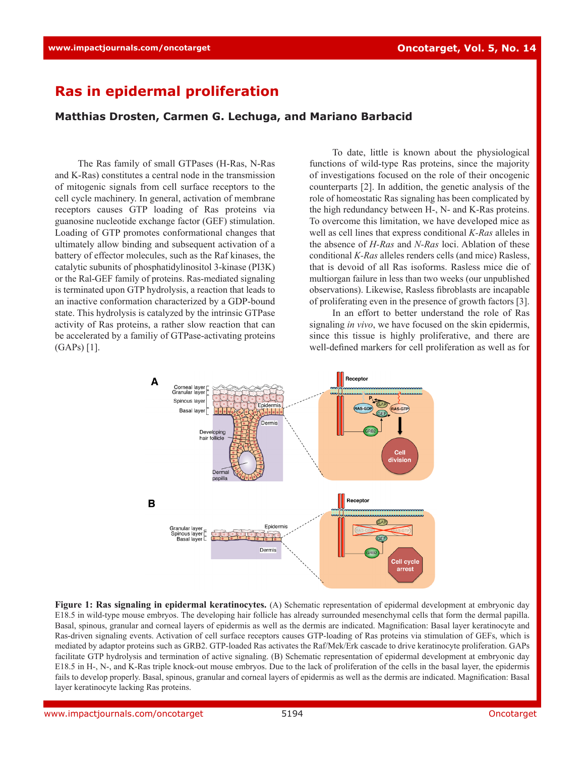## **Ras in epidermal proliferation**

## **Matthias Drosten, Carmen G. Lechuga, and Mariano Barbacid**

The Ras family of small GTPases (H-Ras, N-Ras and K-Ras) constitutes a central node in the transmission of mitogenic signals from cell surface receptors to the cell cycle machinery. In general, activation of membrane receptors causes GTP loading of Ras proteins via guanosine nucleotide exchange factor (GEF) stimulation. Loading of GTP promotes conformational changes that ultimately allow binding and subsequent activation of a battery of effector molecules, such as the Raf kinases, the catalytic subunits of phosphatidylinositol 3-kinase (PI3K) or the Ral-GEF family of proteins. Ras-mediated signaling is terminated upon GTP hydrolysis, a reaction that leads to an inactive conformation characterized by a GDP-bound state. This hydrolysis is catalyzed by the intrinsic GTPase activity of Ras proteins, a rather slow reaction that can be accelerated by a familiy of GTPase-activating proteins (GAPs) [1].

To date, little is known about the physiological functions of wild-type Ras proteins, since the majority of investigations focused on the role of their oncogenic counterparts [2]. In addition, the genetic analysis of the role of homeostatic Ras signaling has been complicated by the high redundancy between H-, N- and K-Ras proteins. To overcome this limitation, we have developed mice as well as cell lines that express conditional *K-Ras* alleles in the absence of *H-Ras* and *N-Ras* loci. Ablation of these conditional *K-Ras* alleles renders cells (and mice) Rasless, that is devoid of all Ras isoforms. Rasless mice die of multiorgan failure in less than two weeks (our unpublished observations). Likewise, Rasless fibroblasts are incapable of proliferating even in the presence of growth factors [3].

In an effort to better understand the role of Ras signaling *in vivo*, we have focused on the skin epidermis, since this tissue is highly proliferative, and there are well-defined markers for cell proliferation as well as for



**Figure 1: Ras signaling in epidermal keratinocytes.** (A) Schematic representation of epidermal development at embryonic day E18.5 in wild-type mouse embryos. The developing hair follicle has already surrounded mesenchymal cells that form the dermal papilla. Basal, spinous, granular and corneal layers of epidermis as well as the dermis are indicated. Magnification: Basal layer keratinocyte and Ras-driven signaling events. Activation of cell surface receptors causes GTP-loading of Ras proteins via stimulation of GEFs, which is mediated by adaptor proteins such as GRB2. GTP-loaded Ras activates the Raf/Mek/Erk cascade to drive keratinocyte proliferation. GAPs facilitate GTP hydrolysis and termination of active signaling. (B) Schematic representation of epidermal development at embryonic day E18.5 in H-, N-, and K-Ras triple knock-out mouse embryos. Due to the lack of proliferation of the cells in the basal layer, the epidermis fails to develop properly. Basal, spinous, granular and corneal layers of epidermis as well as the dermis are indicated. Magnification: Basal layer keratinocyte lacking Ras proteins.